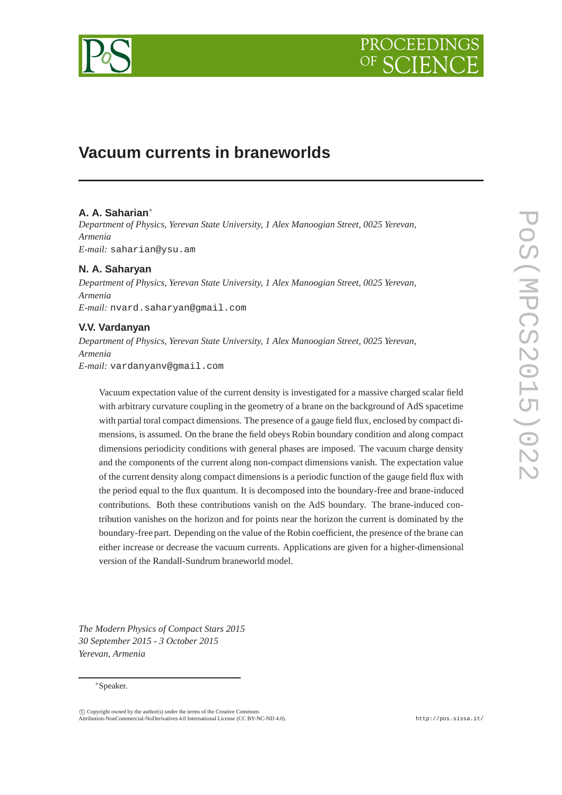

# **Vacuum currents in braneworlds**

# **A. A. Saharian**<sup>∗</sup>

*Department of Physics, Yerevan State University, 1 Alex Manoogian Street, 0025 Yerevan, Armenia E-mail:* saharian@ysu.am

# **N. A. Saharyan**

*Department of Physics, Yerevan State University, 1 Alex Manoogian Street, 0025 Yerevan, Armenia E-mail:* nvard.saharyan@gmail.com

# **V.V. Vardanyan**

*Department of Physics, Yerevan State University, 1 Alex Manoogian Street, 0025 Yerevan, Armenia E-mail:* vardanyanv@gmail.com

Vacuum expectation value of the current density is investigated for a massive charged scalar field with arbitrary curvature coupling in the geometry of a brane on the background of AdS spacetime with partial toral compact dimensions. The presence of a gauge field flux, enclosed by compact dimensions, is assumed. On the brane the field obeys Robin boundary condition and along compact dimensions periodicity conditions with general phases are imposed. The vacuum charge density and the components of the current along non-compact dimensions vanish. The expectation value of the current density along compact dimensions is a periodic function of the gauge field flux with the period equal to the flux quantum. It is decomposed into the boundary-free and brane-induced contributions. Both these contributions vanish on the AdS boundary. The brane-induced contribution vanishes on the horizon and for points near the horizon the current is dominated by the boundary-free part. Depending on the value of the Robin coefficient, the presence of the brane can either increase or decrease the vacuum currents. Applications are given for a higher-dimensional version of the Randall-Sundrum braneworld model.

*The Modern Physics of Compact Stars 2015 30 September 2015 - 3 October 2015 Yerevan, Armenia*

#### <sup>∗</sup>Speaker.

 $\overline{c}$  Copyright owned by the author(s) under the terms of the Creative Commons Attribution-NonCommercial-NoDerivatives 4.0 International License (CC BY-NC-ND 4.0). http://pos.sissa.it/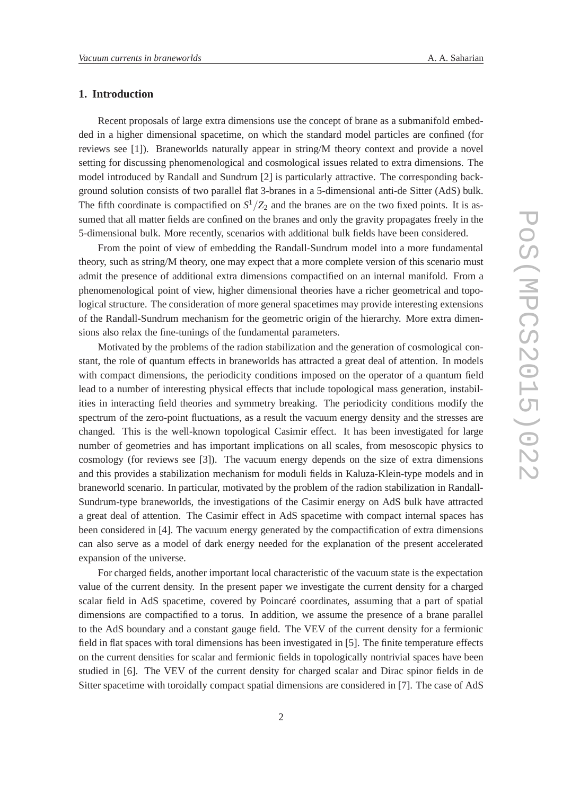# **1. Introduction**

Recent proposals of large extra dimensions use the concept of brane as a submanifold embedded in a higher dimensional spacetime, on which the standard model particles are confined (for reviews see [1]). Braneworlds naturally appear in string/M theory context and provide a novel setting for discussing phenomenological and cosmological issues related to extra dimensions. The model introduced by Randall and Sundrum [2] is particularly attractive. The corresponding background solution consists of two parallel flat 3-branes in a 5-dimensional anti-de Sitter (AdS) bulk. The fifth coordinate is compactified on  $S^1/Z_2$  and the branes are on the two fixed points. It is assumed that all matter fields are confined on the branes and only the gravity propagates freely in the 5-dimensional bulk. More recently, scenarios with additional bulk fields have been considered.

From the point of view of embedding the Randall-Sundrum model into a more fundamental theory, such as string/M theory, one may expect that a more complete version of this scenario must admit the presence of additional extra dimensions compactified on an internal manifold. From a phenomenological point of view, higher dimensional theories have a richer geometrical and topological structure. The consideration of more general spacetimes may provide interesting extensions of the Randall-Sundrum mechanism for the geometric origin of the hierarchy. More extra dimensions also relax the fine-tunings of the fundamental parameters.

Motivated by the problems of the radion stabilization and the generation of cosmological constant, the role of quantum effects in braneworlds has attracted a great deal of attention. In models with compact dimensions, the periodicity conditions imposed on the operator of a quantum field lead to a number of interesting physical effects that include topological mass generation, instabilities in interacting field theories and symmetry breaking. The periodicity conditions modify the spectrum of the zero-point fluctuations, as a result the vacuum energy density and the stresses are changed. This is the well-known topological Casimir effect. It has been investigated for large number of geometries and has important implications on all scales, from mesoscopic physics to cosmology (for reviews see [3]). The vacuum energy depends on the size of extra dimensions and this provides a stabilization mechanism for moduli fields in Kaluza-Klein-type models and in braneworld scenario. In particular, motivated by the problem of the radion stabilization in Randall-Sundrum-type braneworlds, the investigations of the Casimir energy on AdS bulk have attracted a great deal of attention. The Casimir effect in AdS spacetime with compact internal spaces has been considered in [4]. The vacuum energy generated by the compactification of extra dimensions can also serve as a model of dark energy needed for the explanation of the present accelerated expansion of the universe.

For charged fields, another important local characteristic of the vacuum state is the expectation value of the current density. In the present paper we investigate the current density for a charged scalar field in AdS spacetime, covered by Poincaré coordinates, assuming that a part of spatial dimensions are compactified to a torus. In addition, we assume the presence of a brane parallel to the AdS boundary and a constant gauge field. The VEV of the current density for a fermionic field in flat spaces with toral dimensions has been investigated in [5]. The finite temperature effects on the current densities for scalar and fermionic fields in topologically nontrivial spaces have been studied in [6]. The VEV of the current density for charged scalar and Dirac spinor fields in de Sitter spacetime with toroidally compact spatial dimensions are considered in [7]. The case of AdS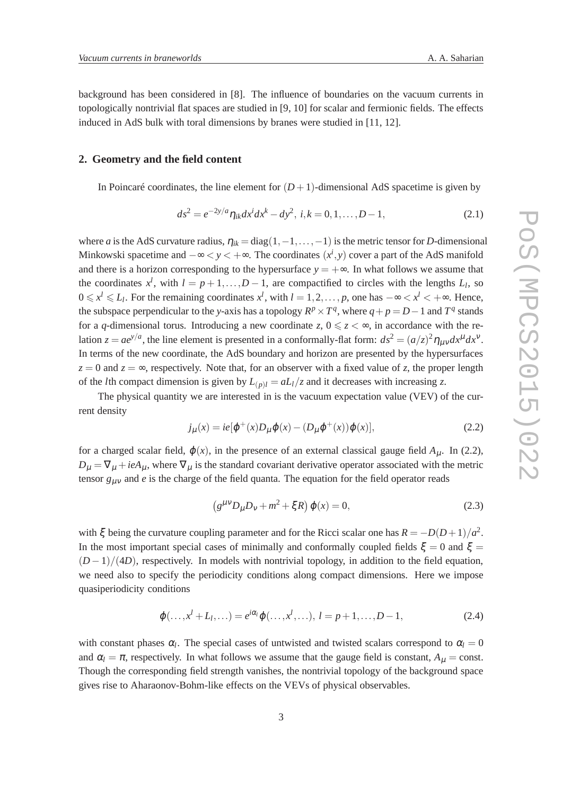background has been considered in [8]. The influence of boundaries on the vacuum currents in topologically nontrivial flat spaces are studied in [9, 10] for scalar and fermionic fields. The effects induced in AdS bulk with toral dimensions by branes were studied in [11, 12].

# **2. Geometry and the field content**

In Poincaré coordinates, the line element for  $(D+1)$ -dimensional AdS spacetime is given by

$$
ds^{2} = e^{-2y/a} \eta_{ik} dx^{i} dx^{k} - dy^{2}, \ i, k = 0, 1, ..., D - 1,
$$
\n(2.1)

where *a* is the AdS curvature radius,  $\eta_{ik} = \text{diag}(1, -1, \ldots, -1)$  is the metric tensor for *D*-dimensional Minkowski spacetime and  $-\infty < y < +\infty$ . The coordinates  $(x^i, y)$  cover a part of the AdS manifold and there is a horizon corresponding to the hypersurface  $y = +\infty$ . In what follows we assume that the coordinates  $x^l$ , with  $l = p + 1, \ldots, D - 1$ , are compactified to circles with the lengths  $L_l$ , so  $0 \leq x^l \leq L_l$ . For the remaining coordinates  $x^l$ , with  $l = 1, 2, ..., p$ , one has  $-\infty < x^l < +\infty$ . Hence, the subspace perpendicular to the *y*-axis has a topology  $R^p \times T^q$ , where  $q + p = D - 1$  and  $T^q$  stands for a *q*-dimensional torus. Introducing a new coordinate *z*,  $0 \le z \le \infty$ , in accordance with the relation  $z = ae^{y/a}$ , the line element is presented in a conformally-flat form:  $ds^2 = (a/z)^2 \eta_{\mu\nu} dx^{\mu} dx^{\nu}$ . In terms of the new coordinate, the AdS boundary and horizon are presented by the hypersurfaces  $z = 0$  and  $z = \infty$ , respectively. Note that, for an observer with a fixed value of *z*, the proper length of the *l*th compact dimension is given by  $L_{(p)l} = aL_l/z$  and it decreases with increasing *z*.

The physical quantity we are interested in is the vacuum expectation value (VEV) of the current density

$$
j_{\mu}(x) = ie[\varphi^{+}(x)D_{\mu}\varphi(x) - (D_{\mu}\varphi^{+}(x))\varphi(x)], \qquad (2.2)
$$

for a charged scalar field,  $\varphi(x)$ , in the presence of an external classical gauge field  $A_{\mu}$ . In (2.2),  $D_{\mu} = \nabla_{\mu} + ieA_{\mu}$ , where  $\nabla_{\mu}$  is the standard covariant derivative operator associated with the metric tensor *g*µν and *e* is the charge of the field quanta. The equation for the field operator reads

$$
(g^{\mu\nu}D_{\mu}D_{\nu} + m^2 + \xi R)\,\varphi(x) = 0,\tag{2.3}
$$

with  $\xi$  being the curvature coupling parameter and for the Ricci scalar one has  $R = -D(D+1)/a^2$ . In the most important special cases of minimally and conformally coupled fields  $\xi = 0$  and  $\xi = 1$  $(D-1)/(4D)$ , respectively. In models with nontrivial topology, in addition to the field equation, we need also to specify the periodicity conditions along compact dimensions. Here we impose quasiperiodicity conditions

$$
\varphi(\ldots, x^l + L_l, \ldots) = e^{i\alpha_l} \varphi(\ldots, x^l, \ldots), \ l = p + 1, \ldots, D - 1,\tag{2.4}
$$

with constant phases  $\alpha_l$ . The special cases of untwisted and twisted scalars correspond to  $\alpha_l = 0$ and  $\alpha_l = \pi$ , respectively. In what follows we assume that the gauge field is constant,  $A_{\mu} = \text{const.}$ Though the corresponding field strength vanishes, the nontrivial topology of the background space gives rise to Aharaonov-Bohm-like effects on the VEVs of physical observables.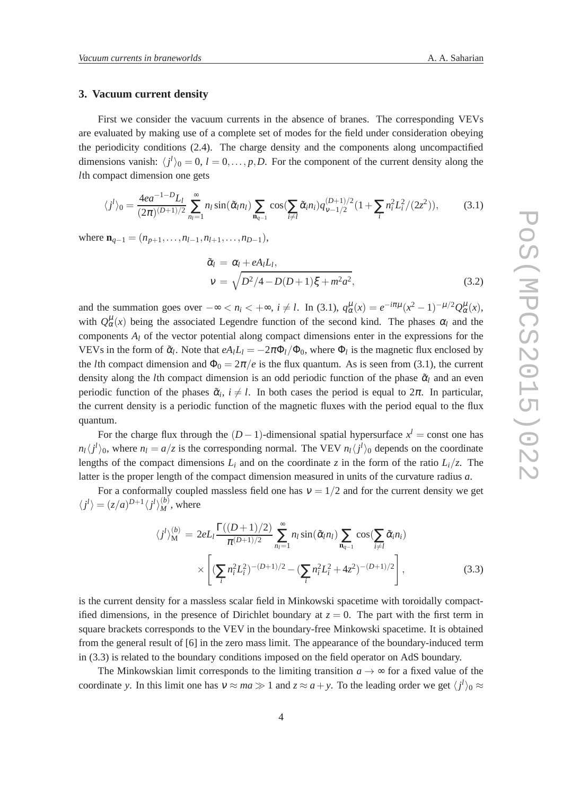### **3. Vacuum current density**

First we consider the vacuum currents in the absence of branes. The corresponding VEVs are evaluated by making use of a complete set of modes for the field under consideration obeying the periodicity conditions (2.4). The charge density and the components along uncompactified dimensions vanish:  $\langle j^l \rangle_0 = 0$ ,  $l = 0, \dots, p, D$ . For the component of the current density along the *l*th compact dimension one gets

$$
\langle j^{l}\rangle_{0} = \frac{4ea^{-1-D}L_{l}}{(2\pi)^{(D+1)/2}} \sum_{n_{l}=1}^{\infty} n_{l} \sin(\tilde{\alpha}_{l}n_{l}) \sum_{n_{q-1}} \cos(\sum_{i\neq l} \tilde{\alpha}_{i}n_{i}) q_{\nu-1/2}^{(D+1)/2} (1 + \sum_{i} n_{i}^{2}L_{i}^{2}/(2z^{2})), \tag{3.1}
$$

where  $\mathbf{n}_{q-1} = (n_{p+1}, \ldots, n_{l-1}, n_{l+1}, \ldots, n_{D-1}),$ 

$$
\tilde{\alpha}_l = \alpha_l + eA_l L_l,
$$
  
\n
$$
v = \sqrt{D^2/4 - D(D+1)\xi + m^2 a^2},
$$
\n(3.2)

and the summation goes over  $-\infty < n_i < +\infty$ ,  $i \neq l$ . In (3.1),  $q_\alpha^\mu(x) = e^{-i\pi\mu}(x^2 - 1)^{-\mu/2}Q_\alpha^\mu(x)$ , with  $Q^{\mu}_{\alpha}(x)$  being the associated Legendre function of the second kind. The phases  $\alpha_l$  and the components *A<sup>l</sup>* of the vector potential along compact dimensions enter in the expressions for the VEVs in the form of  $\tilde{\alpha}_l$ . Note that  $eA_lL_l = -2\pi\Phi_l/\Phi_0$ , where  $\Phi_l$  is the magnetic flux enclosed by the *l*th compact dimension and  $\Phi_0 = 2\pi/e$  is the flux quantum. As is seen from (3.1), the current density along the *l*th compact dimension is an odd periodic function of the phase  $\tilde{\alpha}$  and an even periodic function of the phases  $\tilde{\alpha}_i$ ,  $i \neq l$ . In both cases the period is equal to  $2\pi$ . In particular, the current density is a periodic function of the magnetic fluxes with the period equal to the flux quantum.

For the charge flux through the  $(D-1)$ -dimensional spatial hypersurface  $x^l$  = const one has  $n_l \langle j^l \rangle_0$ , where  $n_l = a/z$  is the corresponding normal. The VEV  $n_l \langle j^l \rangle_0$  depends on the coordinate lengths of the compact dimensions  $L_i$  and on the coordinate *z* in the form of the ratio  $L_i/z$ . The latter is the proper length of the compact dimension measured in units of the curvature radius *a*.

For a conformally coupled massless field one has  $v = 1/2$  and for the current density we get  $\langle j^l \rangle = (z/a)^{D+1} \langle j^l \rangle_M^{(b)}$ , where

$$
\langle j^{l}\rangle_{\mathbf{M}}^{(b)} = 2eL_{l} \frac{\Gamma((D+1)/2)}{\pi^{(D+1)/2}} \sum_{n_{l}=1}^{\infty} n_{l} \sin(\tilde{\alpha}_{l} n_{l}) \sum_{\mathbf{n}_{q-1}} \cos(\sum_{i \neq l} \tilde{\alpha}_{i} n_{i})
$$

$$
\times \left[ (\sum_{i} n_{i}^{2} L_{i}^{2})^{-(D+1)/2} - (\sum_{i} n_{i}^{2} L_{i}^{2} + 4z^{2})^{-(D+1)/2} \right], \tag{3.3}
$$

is the current density for a massless scalar field in Minkowski spacetime with toroidally compactified dimensions, in the presence of Dirichlet boundary at  $z = 0$ . The part with the first term in square brackets corresponds to the VEV in the boundary-free Minkowski spacetime. It is obtained from the general result of [6] in the zero mass limit. The appearance of the boundary-induced term in (3.3) is related to the boundary conditions imposed on the field operator on AdS boundary.

The Minkowskian limit corresponds to the limiting transition  $a \rightarrow \infty$  for a fixed value of the coordinate *y*. In this limit one has  $v \approx ma \gg 1$  and  $z \approx a + y$ . To the leading order we get  $\langle j^l \rangle_0 \approx$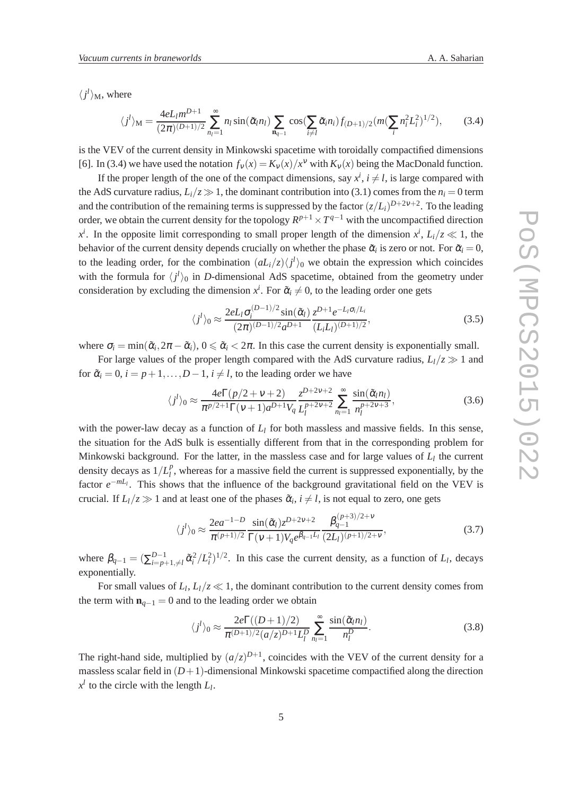$\langle j^l \rangle_M$ , where

$$
\langle j^{l} \rangle_{\mathbf{M}} = \frac{4eL_l m^{D+1}}{(2\pi)^{(D+1)/2}} \sum_{n_l=1}^{\infty} n_l \sin(\tilde{\alpha}_l n_l) \sum_{\mathbf{n}_{q-1}} \cos(\sum_{i \neq l} \tilde{\alpha}_i n_i) f_{(D+1)/2} (m(\sum_{i} n_i^2 L_i^2)^{1/2}), \tag{3.4}
$$

is the VEV of the current density in Minkowski spacetime with toroidally compactified dimensions [6]. In (3.4) we have used the notation  $f_v(x) = K_v(x)/x^v$  with  $K_v(x)$  being the MacDonald function.

If the proper length of the one of the compact dimensions, say  $x^i$ ,  $i \neq l$ , is large compared with the AdS curvature radius,  $L_i/z \gg 1$ , the dominant contribution into (3.1) comes from the  $n_i = 0$  term and the contribution of the remaining terms is suppressed by the factor  $(z/L_i)^{D+2v+2}$ . To the leading order, we obtain the current density for the topology  $R^{p+1} \times T^{q-1}$  with the uncompactified direction  $x^i$ . In the opposite limit corresponding to small proper length of the dimension  $x^i$ ,  $L_i/z \ll 1$ , the behavior of the current density depends crucially on whether the phase  $\tilde{\alpha}_i$  is zero or not. For  $\tilde{\alpha}_i = 0$ , to the leading order, for the combination  $\left(\frac{aL_i}{z}\right)\left\langle j^l\right\rangle_0$  we obtain the expression which coincides with the formula for  $\langle j^l \rangle_0$  in *D*-dimensional AdS spacetime, obtained from the geometry under consideration by excluding the dimension  $x^i$ . For  $\tilde{\alpha}_i \neq 0$ , to the leading order one gets

$$
\langle j^{l} \rangle_0 \approx \frac{2eL_l \sigma_i^{(D-1)/2} \sin(\tilde{\alpha}_l)}{(2\pi)^{(D-1)/2} a^{D+1}} \frac{z^{D+1} e^{-L_l \sigma_i/L_i}}{(L_l L_l)^{(D+1)/2}},
$$
(3.5)

where  $\sigma_i = \min(\tilde{\alpha}_i, 2\pi - \tilde{\alpha}_i), 0 \le \tilde{\alpha}_i < 2\pi$ . In this case the current density is exponentially small.

For large values of the proper length compared with the AdS curvature radius,  $L_l/z \gg 1$  and for  $\tilde{\alpha}_i = 0$ ,  $i = p+1, \ldots, D-1$ ,  $i \neq l$ , to the leading order we have

$$
\langle j^{l}\rangle_0 \approx \frac{4e\Gamma(p/2 + \nu + 2)}{\pi^{p/2+1}\Gamma(\nu + 1)a^{D+1}V_q} \frac{z^{D+2\nu+2}}{L_l^{p+2\nu+2}} \sum_{n_l=1}^{\infty} \frac{\sin(\tilde{\alpha}_l n_l)}{n_l^{p+2\nu+3}},
$$
(3.6)

with the power-law decay as a function of  $L_l$  for both massless and massive fields. In this sense, the situation for the AdS bulk is essentially different from that in the corresponding problem for Minkowski background. For the latter, in the massless case and for large values of *L<sup>l</sup>* the current density decays as  $1/L_l^p$  $_l^p$ , whereas for a massive field the current is suppressed exponentially, by the factor  $e^{-mL_l}$ . This shows that the influence of the background gravitational field on the VEV is crucial. If  $L_l/z \gg 1$  and at least one of the phases  $\tilde{\alpha}_i$ ,  $i \neq l$ , is not equal to zero, one gets

$$
\langle j^{l} \rangle_0 \approx \frac{2ea^{-1-D}}{\pi^{(p+1)/2}} \frac{\sin(\tilde{\alpha}_l) z^{D+2\nu+2}}{\Gamma(\nu+1)V_q e^{\beta_{q-1}L_l}} \frac{\beta_{q-1}^{(p+3)/2+\nu}}{(2L_l)^{(p+1)/2+\nu}},
$$
(3.7)

where  $\beta_{q-1} = (\sum_{i=n}^{D-1}$  $L_{i=p+1,\neq l}^{D-1}$   $\tilde{\alpha}_i^2/L_i^2$   $^{1/2}$ . In this case the current density, as a function of *L*<sub>*l*</sub>, decays exponentially.

For small values of  $L_l$ ,  $L_l/z \ll 1$ , the dominant contribution to the current density comes from the term with  $\mathbf{n}_{q-1} = 0$  and to the leading order we obtain

$$
\langle j^{l}\rangle_0 \approx \frac{2e\Gamma((D+1)/2)}{\pi^{(D+1)/2}(a/z)^{D+1}L_l^D} \sum_{n_l=1}^{\infty} \frac{\sin(\tilde{\alpha}_l n_l)}{n_l^D}.
$$
 (3.8)

The right-hand side, multiplied by  $(a/z)^{D+1}$ , coincides with the VEV of the current density for a massless scalar field in  $(D+1)$ -dimensional Minkowski spacetime compactified along the direction  $x^l$  to the circle with the length  $L_l$ .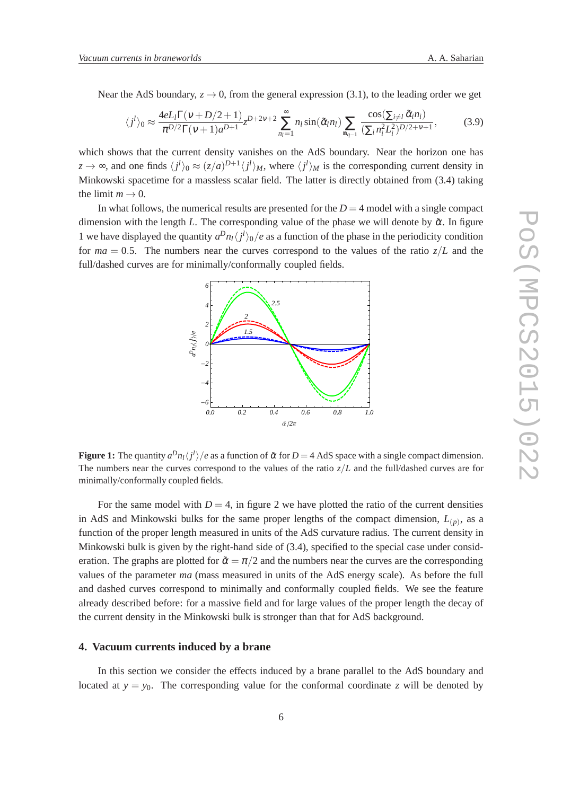Near the AdS boundary,  $z \to 0$ , from the general expression (3.1), to the leading order we get

$$
\langle j^{l}\rangle_0 \approx \frac{4eL_l\Gamma(\nu+D/2+1)}{\pi^{D/2}\Gamma(\nu+1)a^{D+1}} z^{D+2\nu+2} \sum_{n_l=1}^{\infty} n_l \sin(\tilde{\alpha}_l n_l) \sum_{\mathbf{n}_{q-1}} \frac{\cos(\sum_{i\neq l} \tilde{\alpha}_l n_i)}{(\sum_i n_i^2 L_i^2)^{D/2+\nu+1}},
$$
(3.9)

which shows that the current density vanishes on the AdS boundary. Near the horizon one has  $z \to \infty$ , and one finds  $\langle j^l \rangle_0 \approx (z/a)^{D+1} \langle j^l \rangle_M$ , where  $\langle j^l \rangle_M$  is the corresponding current density in Minkowski spacetime for a massless scalar field. The latter is directly obtained from (3.4) taking the limit  $m \to 0$ .

In what follows, the numerical results are presented for the  $D = 4$  model with a single compact dimension with the length *L*. The corresponding value of the phase we will denote by  $\tilde{\alpha}$ . In figure 1 we have displayed the quantity  $a^D n_l \langle j^l \rangle_0 / e$  as a function of the phase in the periodicity condition for  $ma = 0.5$ . The numbers near the curves correspond to the values of the ratio  $z/L$  and the full/dashed curves are for minimally/conformally coupled fields.



**Figure 1:** The quantity  $a^D n_l \langle j^l \rangle / e$  as a function of  $\tilde{\alpha}$  for  $D = 4$  AdS space with a single compact dimension. The numbers near the curves correspond to the values of the ratio  $z/L$  and the full/dashed curves are for minimally/conformally coupled fields.

For the same model with  $D = 4$ , in figure 2 we have plotted the ratio of the current densities in AdS and Minkowski bulks for the same proper lengths of the compact dimension,  $L(p)$ , as a function of the proper length measured in units of the AdS curvature radius. The current density in Minkowski bulk is given by the right-hand side of (3.4), specified to the special case under consideration. The graphs are plotted for  $\tilde{\alpha} = \pi/2$  and the numbers near the curves are the corresponding values of the parameter *ma* (mass measured in units of the AdS energy scale). As before the full and dashed curves correspond to minimally and conformally coupled fields. We see the feature already described before: for a massive field and for large values of the proper length the decay of the current density in the Minkowski bulk is stronger than that for AdS background.

# **4. Vacuum currents induced by a brane**

In this section we consider the effects induced by a brane parallel to the AdS boundary and located at  $y = y_0$ . The corresponding value for the conformal coordinate *z* will be denoted by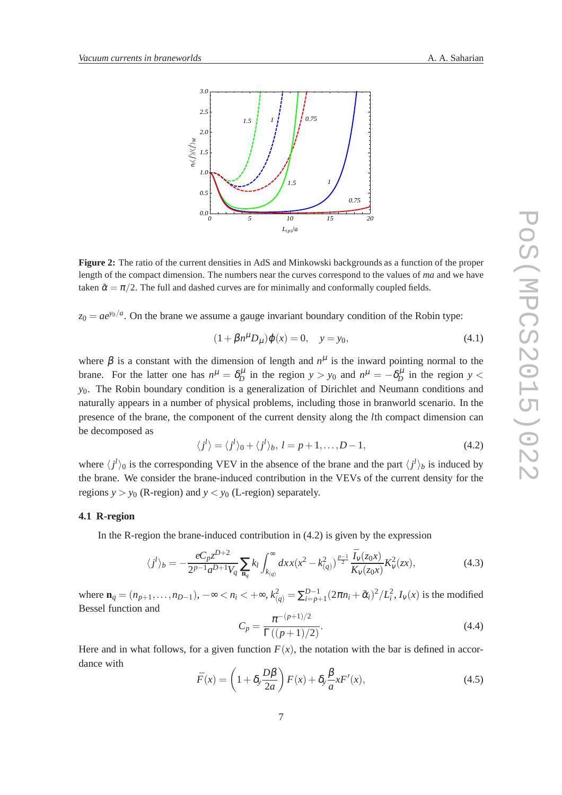

**Figure 2:** The ratio of the current densities in AdS and Minkowski backgrounds as a function of the proper length of the compact dimension. The numbers near the curves correspond to the values of *ma* and we have taken  $\tilde{\alpha} = \pi/2$ . The full and dashed curves are for minimally and conformally coupled fields.

 $z_0 = ae^{y_0/a}$ . On the brane we assume a gauge invariant boundary condition of the Robin type:

$$
(1 + \beta n^{\mu} D_{\mu}) \varphi(x) = 0, \quad y = y_0,
$$
\n(4.1)

where  $\beta$  is a constant with the dimension of length and  $n^{\mu}$  is the inward pointing normal to the brane. For the latter one has  $n^{\mu} = \delta^{\mu}_D$  in the region  $y > y_0$  and  $n^{\mu} = -\delta^{\mu}_D$  in the region  $y <$ *y*0. The Robin boundary condition is a generalization of Dirichlet and Neumann conditions and naturally appears in a number of physical problems, including those in branworld scenario. In the presence of the brane, the component of the current density along the *l*th compact dimension can be decomposed as

$$
\langle j^{l}\rangle = \langle j^{l}\rangle_{0} + \langle j^{l}\rangle_{b}, l = p + 1, ..., D - 1,
$$
\n(4.2)

where  $\langle j^l \rangle_0$  is the corresponding VEV in the absence of the brane and the part  $\langle j^l \rangle_b$  is induced by the brane. We consider the brane-induced contribution in the VEVs of the current density for the regions  $y > y_0$  (R-region) and  $y < y_0$  (L-region) separately.

### **4.1 R-region**

In the R-region the brane-induced contribution in (4.2) is given by the expression

$$
\langle j^{l}\rangle_{b} = -\frac{eC_{p}z^{D+2}}{2^{p-1}a^{D+1}V_{q}}\sum_{\mathbf{n}_{q}}k_{l}\int_{k_{(q)}}^{\infty}dx x(x^{2}-k_{(q)}^{2})^{\frac{p-1}{2}}\frac{\bar{I}_{V}(z_{0}x)}{\bar{K}_{V}(z_{0}x)}K_{V}^{2}(zx),
$$
\n(4.3)

where  $\mathbf{n}_q = (n_{p+1}, \dots, n_{D-1}), -\infty < n_i < +\infty, k_{(q)}^2 = \sum_{i=p+1}^{D-1} (2\pi n_i + \tilde{\alpha}_i)^2 / L_i^2$ ,  $I_v(x)$  is the modified Bessel function and

$$
C_p = \frac{\pi^{-(p+1)/2}}{\Gamma((p+1)/2)}.\tag{4.4}
$$

Here and in what follows, for a given function  $F(x)$ , the notation with the bar is defined in accordance with

$$
\bar{F}(x) = \left(1 + \delta_y \frac{D\beta}{2a}\right) F(x) + \delta_y \frac{\beta}{a} x F'(x),\tag{4.5}
$$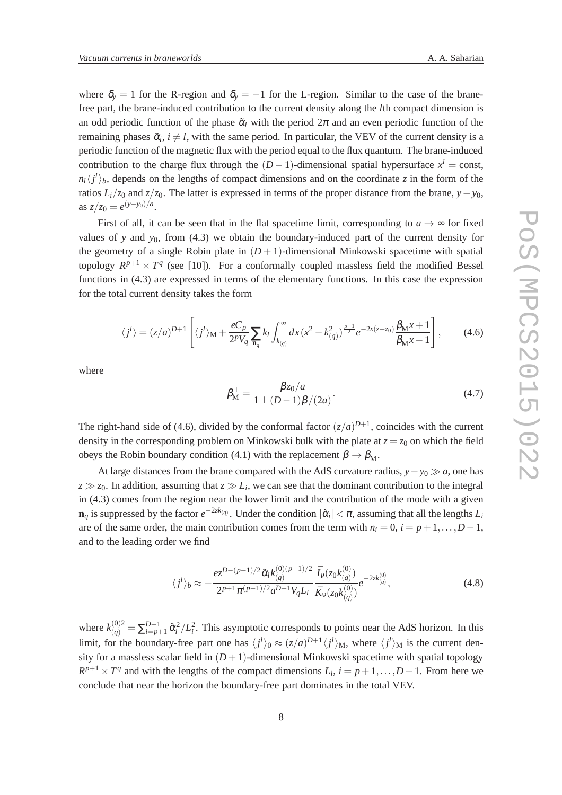where  $\delta_y = 1$  for the R-region and  $\delta_y = -1$  for the L-region. Similar to the case of the branefree part, the brane-induced contribution to the current density along the *l*th compact dimension is an odd periodic function of the phase  $\tilde{\alpha}_l$  with the period  $2\pi$  and an even periodic function of the remaining phases  $\tilde{\alpha}_i$ ,  $i \neq l$ , with the same period. In particular, the VEV of the current density is a periodic function of the magnetic flux with the period equal to the flux quantum. The brane-induced contribution to the charge flux through the  $(D-1)$ -dimensional spatial hypersurface  $x^l = \text{const}$ ,  $n_l \langle j^l \rangle_b$ , depends on the lengths of compact dimensions and on the coordinate *z* in the form of the ratios  $L_i/z_0$  and  $z/z_0$ . The latter is expressed in terms of the proper distance from the brane, *y*−*y*<sub>0</sub>, as  $z/z_0 = e^{(y-y_0)/a}$ .

First of all, it can be seen that in the flat spacetime limit, corresponding to  $a \rightarrow \infty$  for fixed values of *y* and  $y_0$ , from (4.3) we obtain the boundary-induced part of the current density for the geometry of a single Robin plate in  $(D+1)$ -dimensional Minkowski spacetime with spatial topology  $R^{p+1} \times T^q$  (see [10]). For a conformally coupled massless field the modified Bessel functions in (4.3) are expressed in terms of the elementary functions. In this case the expression for the total current density takes the form

$$
\langle j^{l}\rangle = (z/a)^{D+1} \left[ \langle j^{l}\rangle_{\mathbf{M}} + \frac{eC_p}{2^p V_q} \sum_{\mathbf{n}_q} k_l \int_{k_{(q)}}^{\infty} dx \left( x^2 - k_{(q)}^2 \right)^{\frac{p-1}{2}} e^{-2x(z-z_0)} \frac{\beta_{\mathbf{M}} + 1}{\beta_{\mathbf{M}} + 1} \right],
$$
 (4.6)

where

$$
\beta_{\rm M}^{\pm} = \frac{\beta z_0/a}{1 \pm (D-1)\beta/(2a)}.
$$
\n(4.7)

The right-hand side of (4.6), divided by the conformal factor  $(z/a)^{D+1}$ , coincides with the current density in the corresponding problem on Minkowski bulk with the plate at  $z = z_0$  on which the field obeys the Robin boundary condition (4.1) with the replacement  $\beta \to \beta_{\rm M}^+$ .

At large distances from the brane compared with the AdS curvature radius, *y*−*y*<sup>0</sup> ≫ *a*, one has  $z \gg z_0$ . In addition, assuming that  $z \gg L_i$ , we can see that the dominant contribution to the integral in (4.3) comes from the region near the lower limit and the contribution of the mode with a given  $\mathbf{n}_q$  is suppressed by the factor  $e^{-2z k_{(q)}}$ . Under the condition  $|\tilde{\alpha}_i| < \pi$ , assuming that all the lengths  $L_i$ are of the same order, the main contribution comes from the term with  $n_i = 0$ ,  $i = p+1,...,D-1$ , and to the leading order we find

$$
\langle j^{l}\rangle_{b} \approx -\frac{ez^{D-(p-1)/2}\tilde{\alpha}_{l}k_{(q)}^{(0)(p-1)/2}}{2^{p+1}\pi^{(p-1)/2}a^{D+1}V_{q}L_{l}}\frac{\bar{I}_{V}(z_{0}k_{(q)}^{(0)})}{\bar{K}_{V}(z_{0}k_{(q)}^{(0)})}e^{-2zk_{(q)}^{(0)}},\tag{4.8}
$$

where  $k_{(q)}^{(0)2} = \sum_{i=p+1}^{D-1} \tilde{\alpha}_i^2 / L_i^2$ . This asymptotic corresponds to points near the AdS horizon. In this limit, for the boundary-free part one has  $\langle j^l \rangle_0 \approx (z/a)^{D+1} \langle j^l \rangle_M$ , where  $\langle j^l \rangle_M$  is the current density for a massless scalar field in  $(D+1)$ -dimensional Minkowski spacetime with spatial topology  $R^{p+1} \times T^q$  and with the lengths of the compact dimensions  $L_i$ ,  $i = p+1, \ldots, D-1$ . From here we conclude that near the horizon the boundary-free part dominates in the total VEV.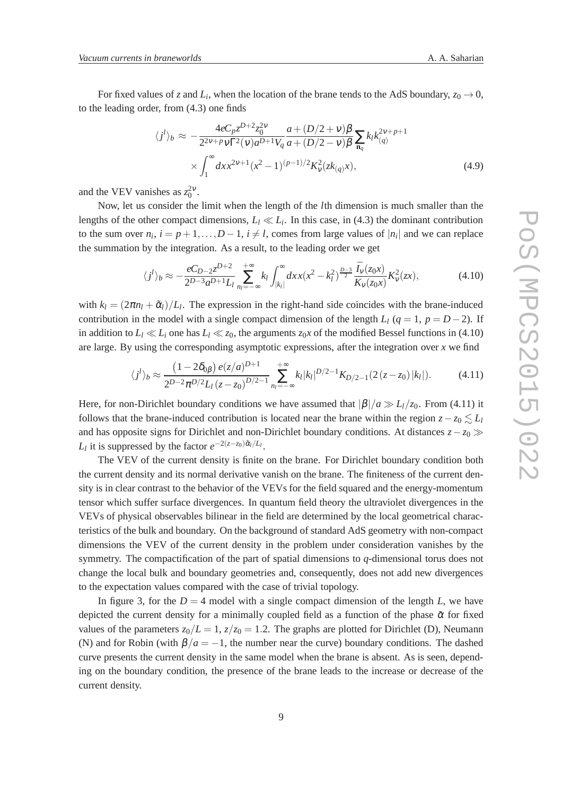For fixed values of *z* and  $L_i$ , when the location of the brane tends to the AdS boundary,  $z_0 \rightarrow 0$ , to the leading order, from (4.3) one finds

$$
\langle j^{l} \rangle_{b} \approx -\frac{4eC_{p}z^{D+2}z_{0}^{2}\mathbf{v}}{2^{2\nu+p}\mathbf{v}\Gamma^{2}(\mathbf{v})a^{D+1}V_{q}}\frac{a+(D/2+\mathbf{v})\beta}{a+(D/2-\mathbf{v})\beta}\sum_{\mathbf{n}_{q}}k_{l}k_{(q)}^{2\nu+p+1} \times \int_{1}^{\infty} dx x^{2\nu+1}(x^{2}-1)^{(p-1)/2}K_{\mathbf{v}}^{2}(zk_{(q)}x), \tag{4.9}
$$

and the VEV vanishes as  $z_0^{2\nu}$ .

Now, let us consider the limit when the length of the *l*th dimension is much smaller than the lengths of the other compact dimensions,  $L_l \ll L_i$ . In this case, in (4.3) the dominant contribution to the sum over  $n_i$ ,  $i = p + 1, \ldots, D - 1$ ,  $i \neq l$ , comes from large values of  $|n_i|$  and we can replace the summation by the integration. As a result, to the leading order we get

$$
\langle j^{l}\rangle_{b} \approx -\frac{eC_{D-2}z^{D+2}}{2^{D-3}a^{D+1}L_{l}}\sum_{n_{l}=-\infty}^{+\infty} k_{l} \int_{|k_{l}|}^{\infty} dx x(x^{2} - k_{l}^{2})^{\frac{D-3}{2}} \frac{\bar{I}_{V}(z_{0}x)}{\bar{K}_{V}(z_{0}x)} K_{V}^{2}(zx), \tag{4.10}
$$

with  $k_l = (2\pi n_l + \tilde{\alpha}_l)/L_l$ . The expression in the right-hand side coincides with the brane-induced contribution in the model with a single compact dimension of the length  $L_l$  ( $q = 1$ ,  $p = D-2$ ). If in addition to  $L_l \ll L_i$  one has  $L_l \ll z_0$ , the arguments  $z_0 x$  of the modified Bessel functions in (4.10) are large. By using the corresponding asymptotic expressions, after the integration over *x* we find

$$
\langle j^{l}\rangle_{b} \approx \frac{\left(1 - 2\delta_{0\beta}\right)e(z/a)^{D+1}}{2^{D-2}\pi^{D/2}L_{l}\left(z - z_{0}\right)^{D/2 - 1}} \sum_{n_{l} = -\infty}^{+\infty} k_{l} |k_{l}|^{D/2 - 1} K_{D/2 - 1}\left(2\left(z - z_{0}\right)|k_{l}|\right). \tag{4.11}
$$

Here, for non-Dirichlet boundary conditions we have assumed that  $|\beta|/a \gg L_l/z_0$ . From (4.11) it follows that the brane-induced contribution is located near the brane within the region  $z-z_0 \leq L_l$ and has opposite signs for Dirichlet and non-Dirichlet boundary conditions. At distances *z*−*z*<sup>0</sup> ≫ *L*<sup>*l*</sup> it is suppressed by the factor  $e^{-2(z-z_0)\tilde{\alpha}_l/L_l}$ .

The VEV of the current density is finite on the brane. For Dirichlet boundary condition both the current density and its normal derivative vanish on the brane. The finiteness of the current density is in clear contrast to the behavior of the VEVs for the field squared and the energy-momentum tensor which suffer surface divergences. In quantum field theory the ultraviolet divergences in the VEVs of physical observables bilinear in the field are determined by the local geometrical characteristics of the bulk and boundary. On the background of standard AdS geometry with non-compact dimensions the VEV of the current density in the problem under consideration vanishes by the symmetry. The compactification of the part of spatial dimensions to *q*-dimensional torus does not change the local bulk and boundary geometries and, consequently, does not add new divergences to the expectation values compared with the case of trivial topology.

In figure 3, for the  $D = 4$  model with a single compact dimension of the length *L*, we have depicted the current density for a minimally coupled field as a function of the phase  $\tilde{\alpha}$  for fixed values of the parameters  $z_0/L = 1$ ,  $z/z_0 = 1.2$ . The graphs are plotted for Dirichlet (D), Neumann (N) and for Robin (with  $\beta/a = -1$ , the number near the curve) boundary conditions. The dashed curve presents the current density in the same model when the brane is absent. As is seen, depending on the boundary condition, the presence of the brane leads to the increase or decrease of the current density.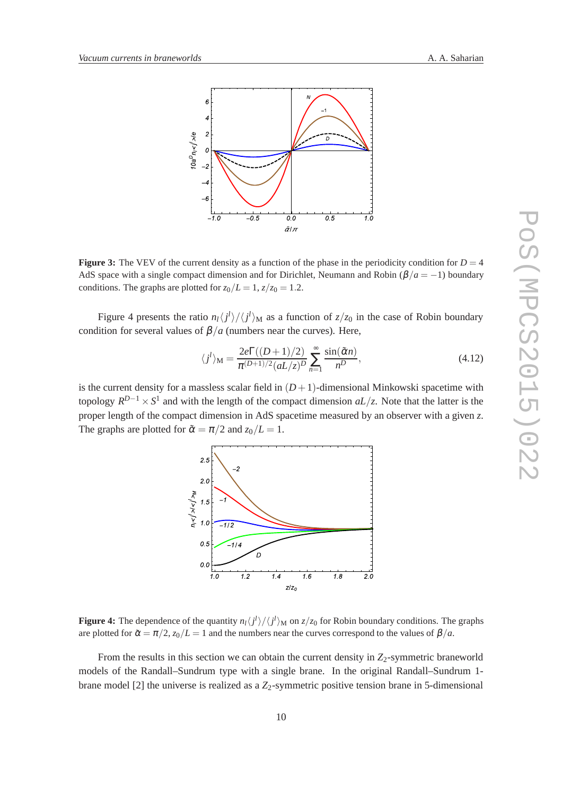



**Figure 3:** The VEV of the current density as a function of the phase in the periodicity condition for  $D = 4$ AdS space with a single compact dimension and for Dirichlet, Neumann and Robin ( $\beta/a = -1$ ) boundary conditions. The graphs are plotted for  $z_0/L = 1$ ,  $z/z_0 = 1.2$ .

Figure 4 presents the ratio  $n_l\langle j^l\rangle/\langle j^l\rangle_M$  as a function of  $z/z_0$  in the case of Robin boundary condition for several values of  $\beta/a$  (numbers near the curves). Here,

$$
\langle j^{l} \rangle_{\mathbf{M}} = \frac{2e\Gamma((D+1)/2)}{\pi^{(D+1)/2} (aL/z)^{D}} \sum_{n=1}^{\infty} \frac{\sin(\tilde{\alpha}n)}{n^{D}},
$$
\n(4.12)

is the current density for a massless scalar field in  $(D+1)$ -dimensional Minkowski spacetime with topology  $R^{D-1} \times S^1$  and with the length of the compact dimension  $aL/z$ . Note that the latter is the proper length of the compact dimension in AdS spacetime measured by an observer with a given *z*. The graphs are plotted for  $\tilde{\alpha} = \pi/2$  and  $z_0/L = 1$ .



**Figure 4:** The dependence of the quantity  $n_l\langle j^l\rangle/\langle j^l\rangle_M$  on  $z/z_0$  for Robin boundary conditions. The graphs are plotted for  $\tilde{\alpha} = \pi/2$ ,  $z_0/L = 1$  and the numbers near the curves correspond to the values of  $\beta/a$ .

From the results in this section we can obtain the current density in  $Z_2$ -symmetric braneworld models of the Randall–Sundrum type with a single brane. In the original Randall–Sundrum 1 brane model [2] the universe is realized as a  $Z_2$ -symmetric positive tension brane in 5-dimensional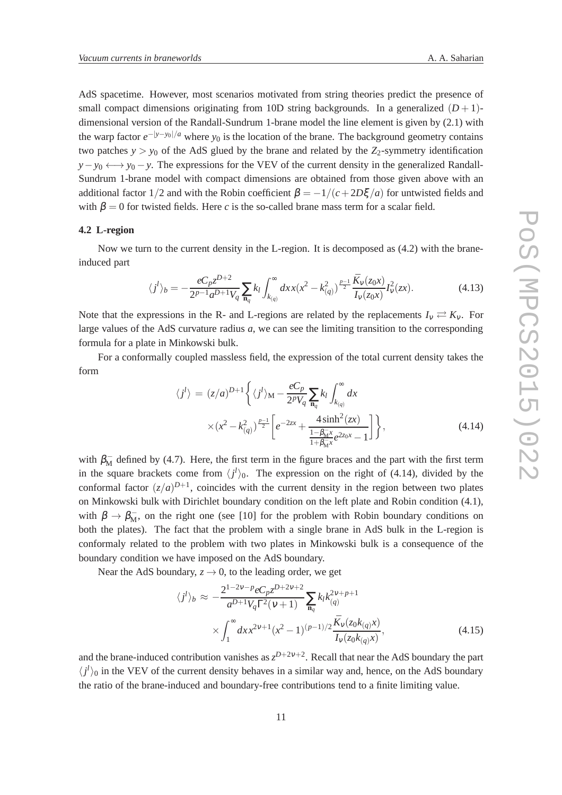AdS spacetime. However, most scenarios motivated from string theories predict the presence of small compact dimensions originating from 10D string backgrounds. In a generalized  $(D+1)$ dimensional version of the Randall-Sundrum 1-brane model the line element is given by (2.1) with the warp factor  $e^{-|y-y_0|/a}$  where *y*<sub>0</sub> is the location of the brane. The background geometry contains two patches  $y > y_0$  of the AdS glued by the brane and related by the  $Z_2$ -symmetry identification  $y - y_0 \leftrightarrow y_0 - y$ . The expressions for the VEV of the current density in the generalized Randall-Sundrum 1-brane model with compact dimensions are obtained from those given above with an additional factor  $1/2$  and with the Robin coefficient  $\beta = -1/(c + 2D\xi/a)$  for untwisted fields and with  $\beta = 0$  for twisted fields. Here *c* is the so-called brane mass term for a scalar field.

#### **4.2 L-region**

Now we turn to the current density in the L-region. It is decomposed as (4.2) with the braneinduced part

$$
\langle j^{l}\rangle_{b} = -\frac{eC_{p}z^{D+2}}{2^{p-1}a^{D+1}V_{q}}\sum_{\mathbf{n}_{q}}k_{l}\int_{k_{(q)}}^{\infty}dx x(x^{2}-k_{(q)}^{2})^{\frac{p-1}{2}}\frac{\bar{K}_{v}(z_{0}x)}{\bar{I}_{v}(z_{0}x)}I_{v}^{2}(zx).
$$
 (4.13)

Note that the expressions in the R- and L-regions are related by the replacements  $I_v \rightleftarrows K_v$ . For large values of the AdS curvature radius *a*, we can see the limiting transition to the corresponding formula for a plate in Minkowski bulk.

For a conformally coupled massless field, the expression of the total current density takes the form

$$
\langle j^{l}\rangle = (z/a)^{D+1} \left\{ \langle j^{l}\rangle_{\mathbf{M}} - \frac{eC_{p}}{2^{p}V_{q}} \sum_{\mathbf{n}_{q}} k_{l} \int_{k_{(q)}}^{\infty} dx \right\}
$$

$$
\times (x^{2} - k_{(q)}^{2})^{\frac{p-1}{2}} \left[ e^{-2zx} + \frac{4\sinh^{2}(zx)}{\frac{1-\beta_{\mathbf{M}}^{2}}{1+\beta_{\mathbf{M}}^{2}} e^{2z_{0}x} - 1} \right] \right\},
$$
(4.14)

with  $\beta_{\rm M}^-$  defined by (4.7). Here, the first term in the figure braces and the part with the first term in the square brackets come from  $\langle j^l \rangle_0$ . The expression on the right of (4.14), divided by the conformal factor  $(z/a)^{D+1}$ , coincides with the current density in the region between two plates on Minkowski bulk with Dirichlet boundary condition on the left plate and Robin condition (4.1), with  $\beta \to \beta_{\rm M}^-$ , on the right one (see [10] for the problem with Robin boundary conditions on both the plates). The fact that the problem with a single brane in AdS bulk in the L-region is conformaly related to the problem with two plates in Minkowski bulk is a consequence of the boundary condition we have imposed on the AdS boundary.

Near the AdS boundary,  $z \rightarrow 0$ , to the leading order, we get

$$
\langle j^{l} \rangle_{b} \approx -\frac{2^{1-2\nu-p} e C_{p} z^{D+2\nu+2}}{a^{D+1} V_{q} \Gamma^{2}(\nu+1)} \sum_{\mathbf{n}_{q}} k_{l} k_{(q)}^{2\nu+p+1} \times \int_{1}^{\infty} dx x^{2\nu+1} (x^{2} - 1)^{(p-1)/2} \frac{\bar{K}_{\nu}(z_{0} k_{(q)} x)}{\bar{I}_{\nu}(z_{0} k_{(q)} x)}, \tag{4.15}
$$

and the brane-induced contribution vanishes as  $z^{D+2v+2}$ . Recall that near the AdS boundary the part  $\langle j^l \rangle$ <sub>0</sub> in the VEV of the current density behaves in a similar way and, hence, on the AdS boundary the ratio of the brane-induced and boundary-free contributions tend to a finite limiting value.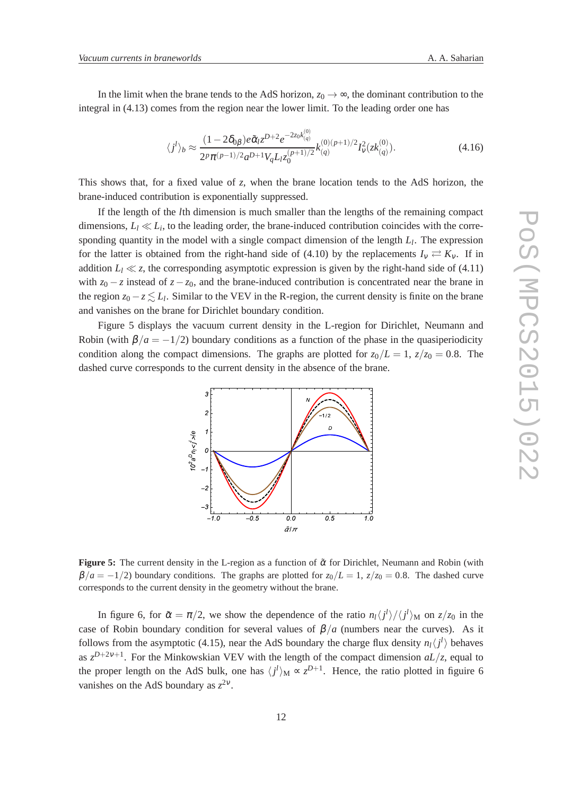In the limit when the brane tends to the AdS horizon,  $z_0 \rightarrow \infty$ , the dominant contribution to the integral in (4.13) comes from the region near the lower limit. To the leading order one has

$$
\langle j^{l}\rangle_{b} \approx \frac{(1 - 2\delta_{0\beta})e\tilde{\alpha}_{l}z^{D+2}e^{-2z_{0}k_{(q)}^{(0)}}}{2^{p}\pi^{(p-1)/2}a^{D+1}V_{q}L_{l}z_{0}^{(p+1)/2}}k_{(q)}^{(0)(p+1)/2}I_{\nu}^{2}(zk_{(q)}^{(0)}).
$$
\n(4.16)

This shows that, for a fixed value of *z*, when the brane location tends to the AdS horizon, the brane-induced contribution is exponentially suppressed.

If the length of the *l*th dimension is much smaller than the lengths of the remaining compact dimensions,  $L_l \ll L_i$ , to the leading order, the brane-induced contribution coincides with the corresponding quantity in the model with a single compact dimension of the length *L<sup>l</sup>* . The expression for the latter is obtained from the right-hand side of (4.10) by the replacements  $I_v \rightleftarrows K_v$ . If in addition  $L_l \ll z$ , the corresponding asymptotic expression is given by the right-hand side of (4.11) with  $z_0 - z$  instead of  $z - z_0$ , and the brane-induced contribution is concentrated near the brane in the region  $z_0 - z \lesssim L_l$ . Similar to the VEV in the R-region, the current density is finite on the brane and vanishes on the brane for Dirichlet boundary condition.

Figure 5 displays the vacuum current density in the L-region for Dirichlet, Neumann and Robin (with  $\beta/a = -1/2$ ) boundary conditions as a function of the phase in the quasiperiodicity condition along the compact dimensions. The graphs are plotted for  $z_0/L = 1$ ,  $z/z_0 = 0.8$ . The dashed curve corresponds to the current density in the absence of the brane.



**Figure 5:** The current density in the L-region as a function of  $\tilde{\alpha}$  for Dirichlet, Neumann and Robin (with  $\beta/a = -1/2$ ) boundary conditions. The graphs are plotted for  $z_0/L = 1$ ,  $z/z_0 = 0.8$ . The dashed curve corresponds to the current density in the geometry without the brane.

In figure 6, for  $\tilde{\alpha} = \pi/2$ , we show the dependence of the ratio  $n_l \langle j^l \rangle / \langle j^l \rangle_M$  on  $z/z_0$  in the case of Robin boundary condition for several values of  $\beta/a$  (numbers near the curves). As it follows from the asymptotic (4.15), near the AdS boundary the charge flux density  $n_l \langle j^l \rangle$  behaves as  $z^{D+2v+1}$ . For the Minkowskian VEV with the length of the compact dimension  $aL/z$ , equal to the proper length on the AdS bulk, one has  $\langle j^l \rangle_M \propto z^{D+1}$ . Hence, the ratio plotted in figuire 6 vanishes on the AdS boundary as  $z^{2\nu}$ .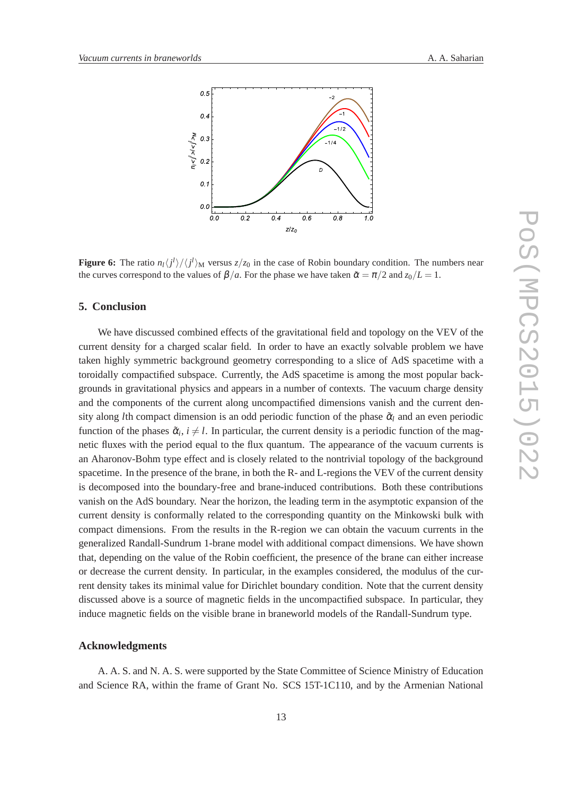

**Figure 6:** The ratio  $n_l \langle j^l \rangle / \langle j^l \rangle_M$  versus  $z/z_0$  in the case of Robin boundary condition. The numbers near the curves correspond to the values of  $\beta/a$ . For the phase we have taken  $\tilde{\alpha} = \pi/2$  and  $z_0/L = 1$ .

# **5. Conclusion**

We have discussed combined effects of the gravitational field and topology on the VEV of the current density for a charged scalar field. In order to have an exactly solvable problem we have taken highly symmetric background geometry corresponding to a slice of AdS spacetime with a toroidally compactified subspace. Currently, the AdS spacetime is among the most popular backgrounds in gravitational physics and appears in a number of contexts. The vacuum charge density and the components of the current along uncompactified dimensions vanish and the current density along *l*th compact dimension is an odd periodic function of the phase  $\tilde{\alpha}_l$  and an even periodic function of the phases  $\tilde{\alpha}_i$ ,  $i \neq l$ . In particular, the current density is a periodic function of the magnetic fluxes with the period equal to the flux quantum. The appearance of the vacuum currents is an Aharonov-Bohm type effect and is closely related to the nontrivial topology of the background spacetime. In the presence of the brane, in both the R- and L-regions the VEV of the current density is decomposed into the boundary-free and brane-induced contributions. Both these contributions vanish on the AdS boundary. Near the horizon, the leading term in the asymptotic expansion of the current density is conformally related to the corresponding quantity on the Minkowski bulk with compact dimensions. From the results in the R-region we can obtain the vacuum currents in the generalized Randall-Sundrum 1-brane model with additional compact dimensions. We have shown that, depending on the value of the Robin coefficient, the presence of the brane can either increase or decrease the current density. In particular, in the examples considered, the modulus of the current density takes its minimal value for Dirichlet boundary condition. Note that the current density discussed above is a source of magnetic fields in the uncompactified subspace. In particular, they induce magnetic fields on the visible brane in braneworld models of the Randall-Sundrum type.

### **Acknowledgments**

A. A. S. and N. A. S. were supported by the State Committee of Science Ministry of Education and Science RA, within the frame of Grant No. SCS 15T-1C110, and by the Armenian National